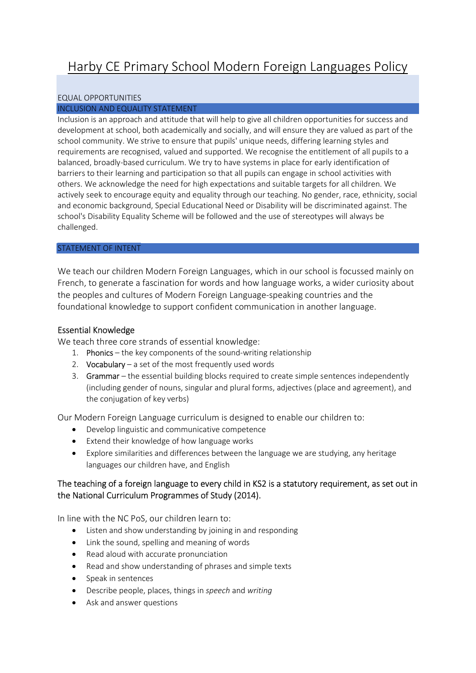# Harby CE Primary School Modern Foreign Languages Policy

## EQUAL OPPORTUNITIES

#### INCLUSION AND EQUALITY STATEMENT

Inclusion is an approach and attitude that will help to give all children opportunities for success and development at school, both academically and socially, and will ensure they are valued as part of the school community. We strive to ensure that pupils' unique needs, differing learning styles and requirements are recognised, valued and supported. We recognise the entitlement of all pupils to a balanced, broadly-based curriculum. We try to have systems in place for early identification of barriers to their learning and participation so that all pupils can engage in school activities with others. We acknowledge the need for high expectations and suitable targets for all children. We actively seek to encourage equity and equality through our teaching. No gender, race, ethnicity, social and economic background, Special Educational Need or Disability will be discriminated against. The school's Disability Equality Scheme will be followed and the use of stereotypes will always be challenged. 

#### STATEMENT OF INTENT

We teach our children Modern Foreign Languages, which in our school is focussed mainly on French, to generate a fascination for words and how language works, a wider curiosity about the peoples and cultures of Modern Foreign Language-speaking countries and the foundational knowledge to support confident communication in another language.

## Essential Knowledge

We teach three core strands of essential knowledge:

- 1. Phonics the key components of the sound-writing relationship
- 2. Vocabulary a set of the most frequently used words
- 3. Grammar the essential building blocks required to create simple sentences independently (including gender of nouns, singular and plural forms, adjectives (place and agreement), and the conjugation of key verbs)

Our Modern Foreign Language curriculum is designed to enable our children to:

- Develop linguistic and communicative competence
- Extend their knowledge of how language works
- Explore similarities and differences between the language we are studying, any heritage languages our children have, and English

# The teaching of a foreign language to every child in KS2 is a statutory requirement, as set out in the National Curriculum Programmes of Study (2014).

In line with the NC PoS, our children learn to:

- Listen and show understanding by joining in and responding
- Link the sound, spelling and meaning of words
- Read aloud with accurate pronunciation
- Read and show understanding of phrases and simple texts
- Speak in sentences
- Describe people, places, things in speech and writing
- Ask and answer questions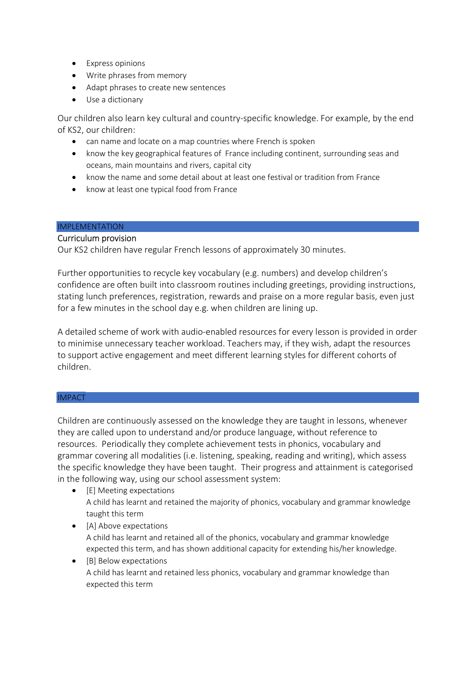- Express opinions
- Write phrases from memory
- Adapt phrases to create new sentences
- Use a dictionary

Our children also learn key cultural and country-specific knowledge. For example, by the end of KS2, our children:

- can name and locate on a map countries where French is spoken
- know the key geographical features of France including continent, surrounding seas and oceans, main mountains and rivers, capital city
- know the name and some detail about at least one festival or tradition from France
- know at least one typical food from France

## IMPLEMENTATION

## Curriculum provision

Our KS2 children have regular French lessons of approximately 30 minutes.

Further opportunities to recycle key vocabulary (e.g. numbers) and develop children's confidence are often built into classroom routines including greetings, providing instructions, stating lunch preferences, registration, rewards and praise on a more regular basis, even just for a few minutes in the school day e.g. when children are lining up.

A detailed scheme of work with audio-enabled resources for every lesson is provided in order to minimise unnecessary teacher workload. Teachers may, if they wish, adapt the resources to support active engagement and meet different learning styles for different cohorts of children.

## **IMPACT**

Children are continuously assessed on the knowledge they are taught in lessons, whenever they are called upon to understand and/or produce language, without reference to resources. Periodically they complete achievement tests in phonics, vocabulary and grammar covering all modalities (i.e. listening, speaking, reading and writing), which assess the specific knowledge they have been taught. Their progress and attainment is categorised in the following way, using our school assessment system:

- [E] Meeting expectations A child has learnt and retained the majority of phonics, vocabulary and grammar knowledge taught this term
- [A] Above expectations A child has learnt and retained all of the phonics, vocabulary and grammar knowledge expected this term, and has shown additional capacity for extending his/her knowledge.
- [B] Below expectations A child has learnt and retained less phonics, vocabulary and grammar knowledge than expected this term